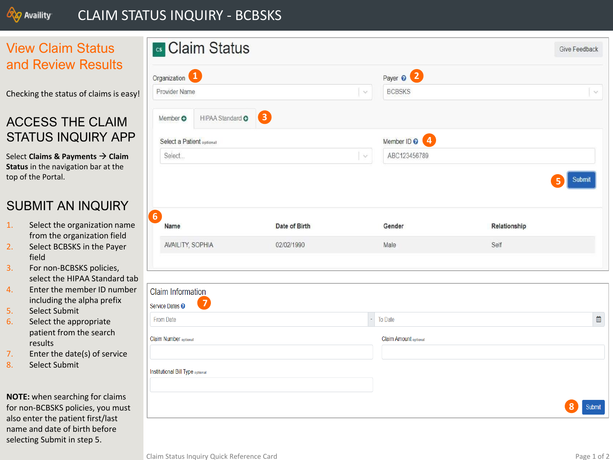

## CLAIM STATUS INQUIRY - BCBSKS

## View Claim Status and Review Results

Checking the status of claims is easy!

# ACCESS THE CLAIM STATUS INQUIRY APP

Select **Claims & Payments → Claim Status** in the navigation bar at the top of the Portal.

## SUBMIT AN INQUIRY

- 1. Select the organization name from the organization field
- 2. Select BCBSKS in the Payer field
- 3. For non -BCBSKS policies, select the HIPAA Standard tab
- 4. Enter the member ID number including the alpha prefix
- 5. Select Submit
- 6. Select the appropriate patient from the search results
- 7. Enter the date(s) of service
- 8. Select Submit

**NOTE:** when searching for claims for non -BCBSKS policies, you must also enter the patient first/last name and date of birth before selecting Submit in step 5.

| <b>cs</b> Claim Status                       |               |          |                             |              | Give Feedback |
|----------------------------------------------|---------------|----------|-----------------------------|--------------|---------------|
| Organization <sup>1</sup>                    |               |          | Payer <sup>0</sup> 2        |              |               |
| Provider Name                                |               | $\vee$   | <b>BCBSKS</b>               |              | $\vee$        |
| HIPAA Standard O<br>Member O                 | B             |          |                             |              |               |
| Select a Patient optional                    |               |          | Ø<br>Member ID <sup>O</sup> |              |               |
| Select                                       |               | $\vee$   | ABC123456789                |              |               |
|                                              |               |          |                             |              |               |
| Name                                         | Date of Birth |          | Gender                      | Relationship |               |
| <b>AVAILITY, SOPHIA</b>                      | 02/02/1990    |          | Male                        | Self         |               |
|                                              |               |          |                             |              |               |
| <b>Claim Information</b>                     |               |          |                             |              |               |
| $\overline{7}$<br>Service Dates <sup>O</sup> |               |          |                             |              |               |
| <b>From Date</b>                             |               | $\omega$ | To Date                     |              |               |
| Claim Number optional                        |               |          | Claim Amount optional       |              |               |
|                                              |               |          |                             |              |               |
| Institutional Bill Type optional             |               |          |                             |              |               |